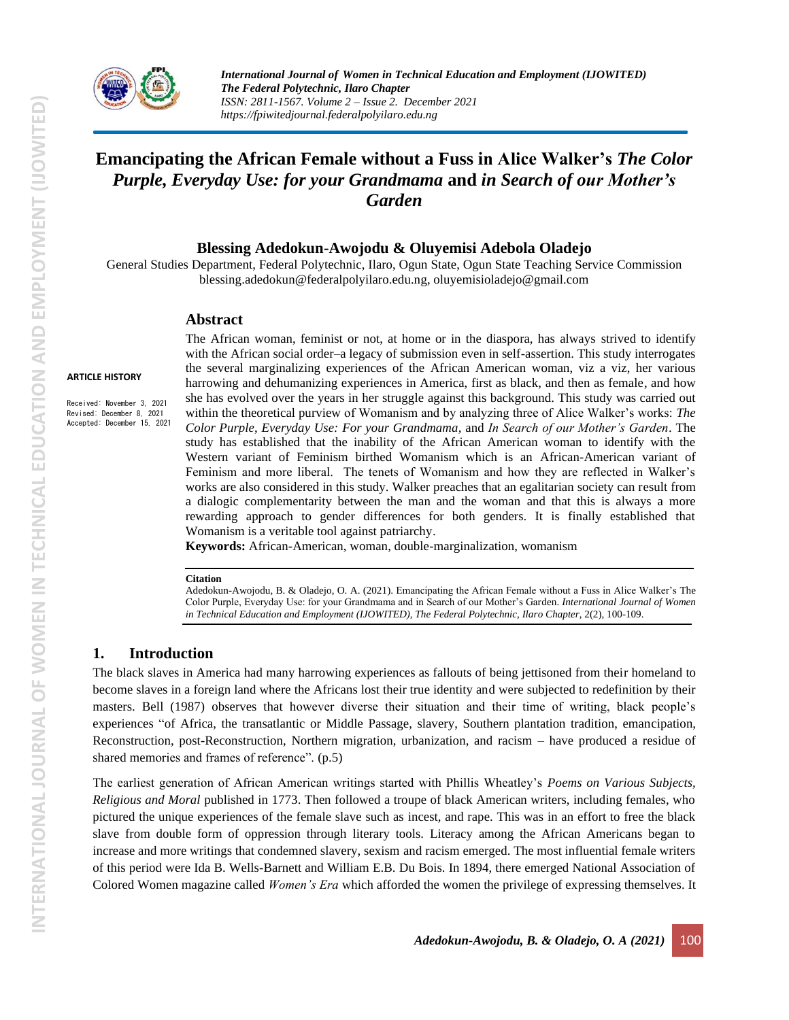

# **Emancipating the African Female without a Fuss in Alice Walker's** *The Color Purple, Everyday Use: for your Grandmama* **and** *in Search of our Mother's Garden*

**Blessing Adedokun-Awojodu & Oluyemisi Adebola Oladejo**

General Studies Department, Federal Polytechnic, Ilaro, Ogun State, Ogun State Teaching Service Commission [blessing.adedokun@federalpolyilaro.edu.ng,](mailto:blessing.adedokun@federalpolyilaro.edu.ng) [oluyemisioladejo@gmail.com](mailto:oluyemisioladejo@gmail.com)

#### **Abstract**

#### **ARTICLE HISTORY**

Received: November 3, 2021 Revised: December 8, 2021 Accepted: December 15, 2021 The African woman, feminist or not, at home or in the diaspora, has always strived to identify with the African social order–a legacy of submission even in self-assertion. This study interrogates the several marginalizing experiences of the African American woman, viz a viz, her various harrowing and dehumanizing experiences in America, first as black, and then as female, and how she has evolved over the years in her struggle against this background. This study was carried out within the theoretical purview of Womanism and by analyzing three of Alice Walker's works: *The Color Purple*, *Everyday Use: For your Grandmama,* and *In Search of our Mother's Garden*. The study has established that the inability of the African American woman to identify with the Western variant of Feminism birthed Womanism which is an African-American variant of Feminism and more liberal. The tenets of Womanism and how they are reflected in Walker's works are also considered in this study. Walker preaches that an egalitarian society can result from a dialogic complementarity between the man and the woman and that this is always a more rewarding approach to gender differences for both genders. It is finally established that Womanism is a veritable tool against patriarchy.

**Keywords:** African-American, woman, double-marginalization, womanism

#### **Citation**

Adedokun-Awojodu, B. & Oladejo, O. A. (2021). Emancipating the African Female without a Fuss in Alice Walker's The Color Purple, Everyday Use: for your Grandmama and in Search of our Mother's Garden. *International Journal of Women*  in Technical Education and Employment (IJOWITED), The Federal Polytechnic, Ilaro Chapter, 2(2), 100-109.

#### **1. Introduction**

The black slaves in America had many harrowing experiences as fallouts of being jettisoned from their homeland to become slaves in a foreign land where the Africans lost their true identity and were subjected to redefinition by their masters. Bell (1987) observes that however diverse their situation and their time of writing, black people's experiences "of Africa, the transatlantic or Middle Passage, slavery, Southern plantation tradition, emancipation, Reconstruction, post-Reconstruction, Northern migration, urbanization, and racism – have produced a residue of shared memories and frames of reference". (p.5)

The earliest generation of African American writings started with Phillis Wheatley's *Poems on Various Subjects, Religious and Moral* published in 1773. Then followed a troupe of black American writers, including females, who pictured the unique experiences of the female slave such as incest, and rape. This was in an effort to free the black slave from double form of oppression through literary tools. Literacy among the African Americans began to increase and more writings that condemned slavery, sexism and racism emerged. The most influential female writers of this period were Ida B. Wells-Barnett and William E.B. Du Bois. In 1894, there emerged National Association of Colored Women magazine called *Women's Era* which afforded the women the privilege of expressing themselves. It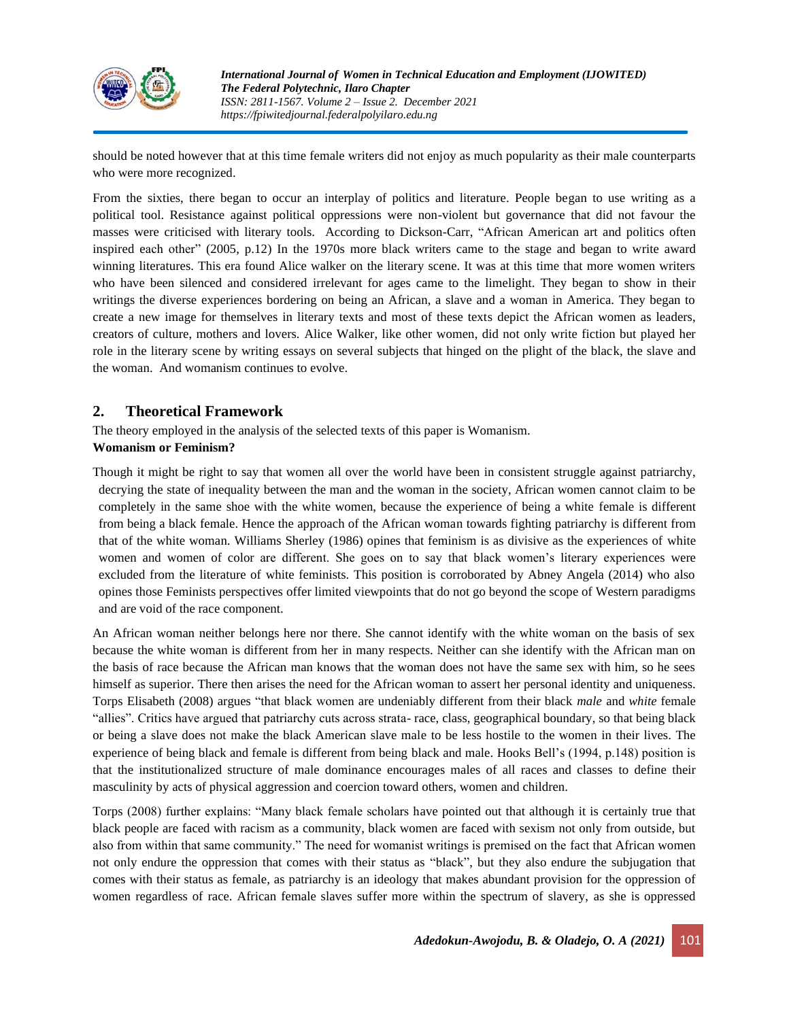

should be noted however that at this time female writers did not enjoy as much popularity as their male counterparts who were more recognized.

From the sixties, there began to occur an interplay of politics and literature. People began to use writing as a political tool. Resistance against political oppressions were non-violent but governance that did not favour the masses were criticised with literary tools. According to Dickson-Carr, "African American art and politics often inspired each other" (2005, p.12) In the 1970s more black writers came to the stage and began to write award winning literatures. This era found Alice walker on the literary scene. It was at this time that more women writers who have been silenced and considered irrelevant for ages came to the limelight. They began to show in their writings the diverse experiences bordering on being an African, a slave and a woman in America. They began to create a new image for themselves in literary texts and most of these texts depict the African women as leaders, creators of culture, mothers and lovers. Alice Walker, like other women, did not only write fiction but played her role in the literary scene by writing essays on several subjects that hinged on the plight of the black, the slave and the woman. And womanism continues to evolve.

# **2. Theoretical Framework**

The theory employed in the analysis of the selected texts of this paper is Womanism.

### **Womanism or Feminism?**

Though it might be right to say that women all over the world have been in consistent struggle against patriarchy, decrying the state of inequality between the man and the woman in the society, African women cannot claim to be completely in the same shoe with the white women, because the experience of being a white female is different from being a black female. Hence the approach of the African woman towards fighting patriarchy is different from that of the white woman. Williams Sherley (1986) opines that feminism is as divisive as the experiences of white women and women of color are different. She goes on to say that black women's literary experiences were excluded from the literature of white feminists. This position is corroborated by Abney Angela (2014) who also opines those Feminists perspectives offer limited viewpoints that do not go beyond the scope of Western paradigms and are void of the race component.

An African woman neither belongs here nor there. She cannot identify with the white woman on the basis of sex because the white woman is different from her in many respects. Neither can she identify with the African man on the basis of race because the African man knows that the woman does not have the same sex with him, so he sees himself as superior. There then arises the need for the African woman to assert her personal identity and uniqueness. Torps Elisabeth (2008) argues "that black women are undeniably different from their black *male* and *white* female "allies". Critics have argued that patriarchy cuts across strata- race, class, geographical boundary, so that being black or being a slave does not make the black American slave male to be less hostile to the women in their lives. The experience of being black and female is different from being black and male. Hooks Bell's (1994, p.148) position is that the institutionalized structure of male dominance encourages males of all races and classes to define their masculinity by acts of physical aggression and coercion toward others, women and children.

Torps (2008) further explains: "Many black female scholars have pointed out that although it is certainly true that black people are faced with racism as a community, black women are faced with sexism not only from outside, but also from within that same community." The need for womanist writings is premised on the fact that African women not only endure the oppression that comes with their status as "black", but they also endure the subjugation that comes with their status as female, as patriarchy is an ideology that makes abundant provision for the oppression of women regardless of race. African female slaves suffer more within the spectrum of slavery, as she is oppressed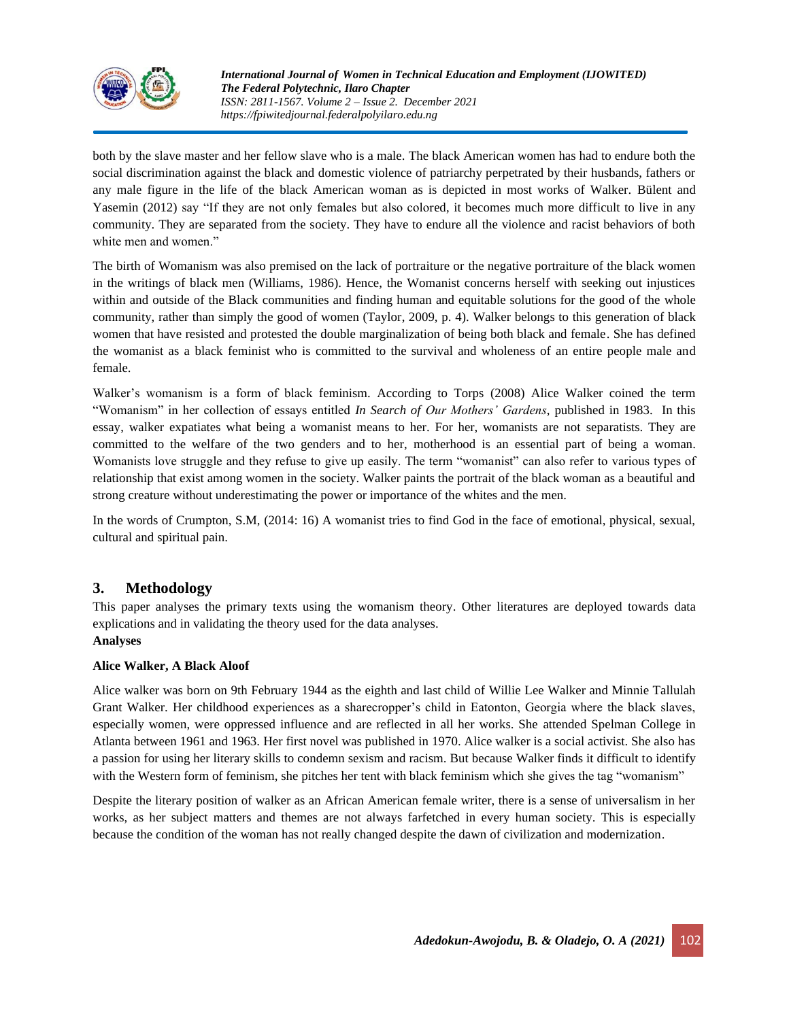

both by the slave master and her fellow slave who is a male. The black American women has had to endure both the social discrimination against the black and domestic violence of patriarchy perpetrated by their husbands, fathers or any male figure in the life of the black American woman as is depicted in most works of Walker. Bülent and Yasemin (2012) say "If they are not only females but also colored, it becomes much more difficult to live in any community. They are separated from the society. They have to endure all the violence and racist behaviors of both white men and women."

The birth of Womanism was also premised on the lack of portraiture or the negative portraiture of the black women in the writings of black men (Williams, 1986). Hence, the Womanist concerns herself with seeking out injustices within and outside of the Black communities and finding human and equitable solutions for the good of the whole community, rather than simply the good of women (Taylor, 2009, p. 4). Walker belongs to this generation of black women that have resisted and protested the double marginalization of being both black and female. She has defined the womanist as a black feminist who is committed to the survival and wholeness of an entire people male and female.

Walker's womanism is a form of black feminism. According to Torps (2008) Alice Walker coined the term "Womanism" in her collection of essays entitled *In Search of Our Mothers' Gardens*, published in 1983. In this essay, walker expatiates what being a womanist means to her. For her, womanists are not separatists. They are committed to the welfare of the two genders and to her, motherhood is an essential part of being a woman. Womanists love struggle and they refuse to give up easily. The term "womanist" can also refer to various types of relationship that exist among women in the society. Walker paints the portrait of the black woman as a beautiful and strong creature without underestimating the power or importance of the whites and the men.

In the words of Crumpton, S.M, (2014: 16) A womanist tries to find God in the face of emotional, physical, sexual, cultural and spiritual pain.

# **3. Methodology**

This paper analyses the primary texts using the womanism theory. Other literatures are deployed towards data explications and in validating the theory used for the data analyses. **Analyses**

### **Alice Walker, A Black Aloof**

Alice walker was born on 9th February 1944 as the eighth and last child of Willie Lee Walker and Minnie Tallulah Grant Walker. Her childhood experiences as a sharecropper's child in Eatonton, Georgia where the black slaves, especially women, were oppressed influence and are reflected in all her works. She attended Spelman College in Atlanta between 1961 and 1963. Her first novel was published in 1970. Alice walker is a social activist. She also has a passion for using her literary skills to condemn sexism and racism. But because Walker finds it difficult to identify with the Western form of feminism, she pitches her tent with black feminism which she gives the tag "womanism"

Despite the literary position of walker as an African American female writer, there is a sense of universalism in her works, as her subject matters and themes are not always farfetched in every human society. This is especially because the condition of the woman has not really changed despite the dawn of civilization and modernization.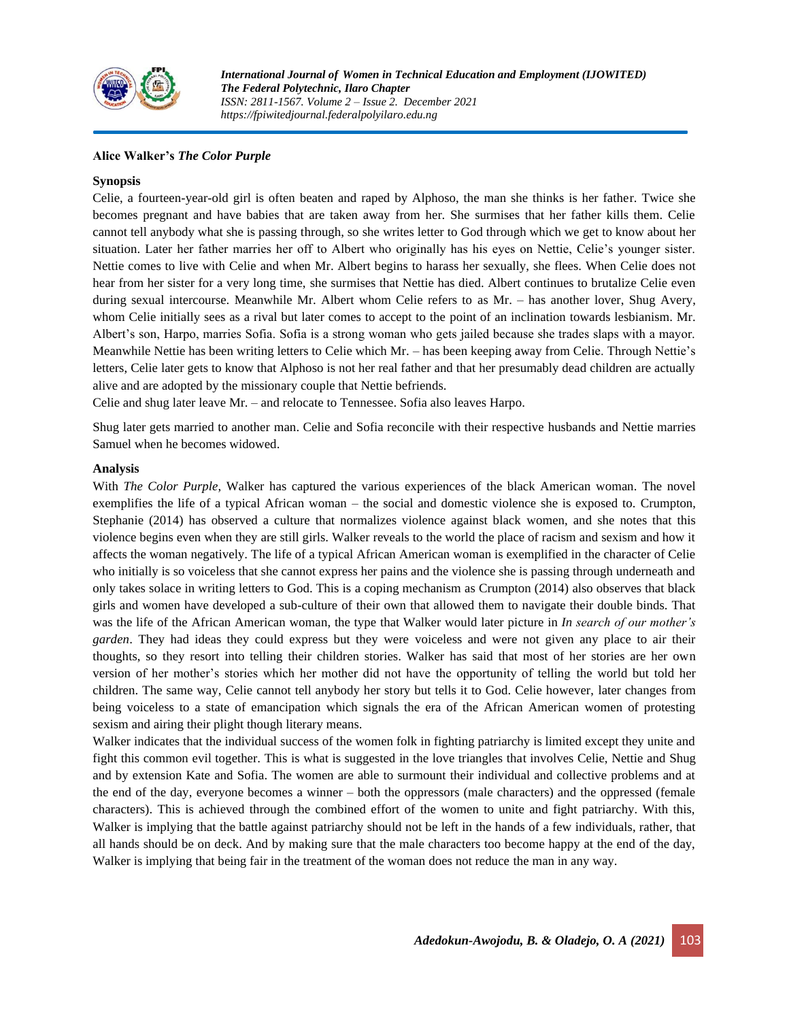

#### **Alice Walker's** *The Color Purple*

#### **Synopsis**

Celie, a fourteen-year-old girl is often beaten and raped by Alphoso, the man she thinks is her father. Twice she becomes pregnant and have babies that are taken away from her. She surmises that her father kills them. Celie cannot tell anybody what she is passing through, so she writes letter to God through which we get to know about her situation. Later her father marries her off to Albert who originally has his eyes on Nettie, Celie's younger sister. Nettie comes to live with Celie and when Mr. Albert begins to harass her sexually, she flees. When Celie does not hear from her sister for a very long time, she surmises that Nettie has died. Albert continues to brutalize Celie even during sexual intercourse. Meanwhile Mr. Albert whom Celie refers to as Mr. – has another lover, Shug Avery, whom Celie initially sees as a rival but later comes to accept to the point of an inclination towards lesbianism. Mr. Albert's son, Harpo, marries Sofia. Sofia is a strong woman who gets jailed because she trades slaps with a mayor. Meanwhile Nettie has been writing letters to Celie which Mr. – has been keeping away from Celie. Through Nettie's letters, Celie later gets to know that Alphoso is not her real father and that her presumably dead children are actually alive and are adopted by the missionary couple that Nettie befriends.

Celie and shug later leave Mr. – and relocate to Tennessee. Sofia also leaves Harpo.

Shug later gets married to another man. Celie and Sofia reconcile with their respective husbands and Nettie marries Samuel when he becomes widowed.

#### **Analysis**

With *The Color Purple*, Walker has captured the various experiences of the black American woman. The novel exemplifies the life of a typical African woman – the social and domestic violence she is exposed to. Crumpton, Stephanie (2014) has observed a culture that normalizes violence against black women, and she notes that this violence begins even when they are still girls. Walker reveals to the world the place of racism and sexism and how it affects the woman negatively. The life of a typical African American woman is exemplified in the character of Celie who initially is so voiceless that she cannot express her pains and the violence she is passing through underneath and only takes solace in writing letters to God. This is a coping mechanism as Crumpton (2014) also observes that black girls and women have developed a sub-culture of their own that allowed them to navigate their double binds. That was the life of the African American woman, the type that Walker would later picture in *In search of our mother's garden*. They had ideas they could express but they were voiceless and were not given any place to air their thoughts, so they resort into telling their children stories. Walker has said that most of her stories are her own version of her mother's stories which her mother did not have the opportunity of telling the world but told her children. The same way, Celie cannot tell anybody her story but tells it to God. Celie however, later changes from being voiceless to a state of emancipation which signals the era of the African American women of protesting sexism and airing their plight though literary means.

Walker indicates that the individual success of the women folk in fighting patriarchy is limited except they unite and fight this common evil together. This is what is suggested in the love triangles that involves Celie, Nettie and Shug and by extension Kate and Sofia. The women are able to surmount their individual and collective problems and at the end of the day, everyone becomes a winner – both the oppressors (male characters) and the oppressed (female characters). This is achieved through the combined effort of the women to unite and fight patriarchy. With this, Walker is implying that the battle against patriarchy should not be left in the hands of a few individuals, rather, that all hands should be on deck. And by making sure that the male characters too become happy at the end of the day, Walker is implying that being fair in the treatment of the woman does not reduce the man in any way.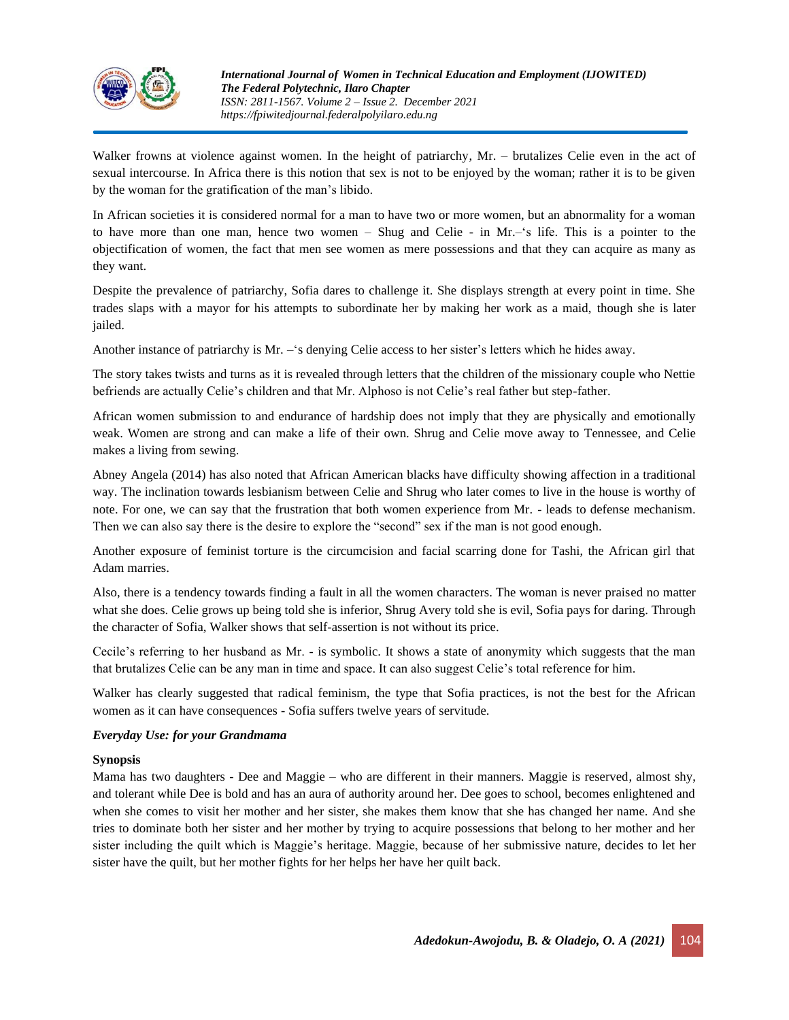

Walker frowns at violence against women. In the height of patriarchy, Mr. – brutalizes Celie even in the act of sexual intercourse. In Africa there is this notion that sex is not to be enjoyed by the woman; rather it is to be given by the woman for the gratification of the man's libido.

In African societies it is considered normal for a man to have two or more women, but an abnormality for a woman to have more than one man, hence two women – Shug and Celie - in Mr.–'s life. This is a pointer to the objectification of women, the fact that men see women as mere possessions and that they can acquire as many as they want.

Despite the prevalence of patriarchy, Sofia dares to challenge it. She displays strength at every point in time. She trades slaps with a mayor for his attempts to subordinate her by making her work as a maid, though she is later jailed.

Another instance of patriarchy is Mr. –'s denying Celie access to her sister's letters which he hides away.

The story takes twists and turns as it is revealed through letters that the children of the missionary couple who Nettie befriends are actually Celie's children and that Mr. Alphoso is not Celie's real father but step-father.

African women submission to and endurance of hardship does not imply that they are physically and emotionally weak. Women are strong and can make a life of their own. Shrug and Celie move away to Tennessee, and Celie makes a living from sewing.

Abney Angela (2014) has also noted that African American blacks have difficulty showing affection in a traditional way. The inclination towards lesbianism between Celie and Shrug who later comes to live in the house is worthy of note. For one, we can say that the frustration that both women experience from Mr. - leads to defense mechanism. Then we can also say there is the desire to explore the "second" sex if the man is not good enough.

Another exposure of feminist torture is the circumcision and facial scarring done for Tashi, the African girl that Adam marries.

Also, there is a tendency towards finding a fault in all the women characters. The woman is never praised no matter what she does. Celie grows up being told she is inferior, Shrug Avery told she is evil, Sofia pays for daring. Through the character of Sofia, Walker shows that self-assertion is not without its price.

Cecile's referring to her husband as Mr. - is symbolic. It shows a state of anonymity which suggests that the man that brutalizes Celie can be any man in time and space. It can also suggest Celie's total reference for him.

Walker has clearly suggested that radical feminism, the type that Sofia practices, is not the best for the African women as it can have consequences - Sofia suffers twelve years of servitude.

#### *Everyday Use: for your Grandmama*

#### **Synopsis**

Mama has two daughters - Dee and Maggie – who are different in their manners. Maggie is reserved, almost shy, and tolerant while Dee is bold and has an aura of authority around her. Dee goes to school, becomes enlightened and when she comes to visit her mother and her sister, she makes them know that she has changed her name. And she tries to dominate both her sister and her mother by trying to acquire possessions that belong to her mother and her sister including the quilt which is Maggie's heritage. Maggie, because of her submissive nature, decides to let her sister have the quilt, but her mother fights for her helps her have her quilt back.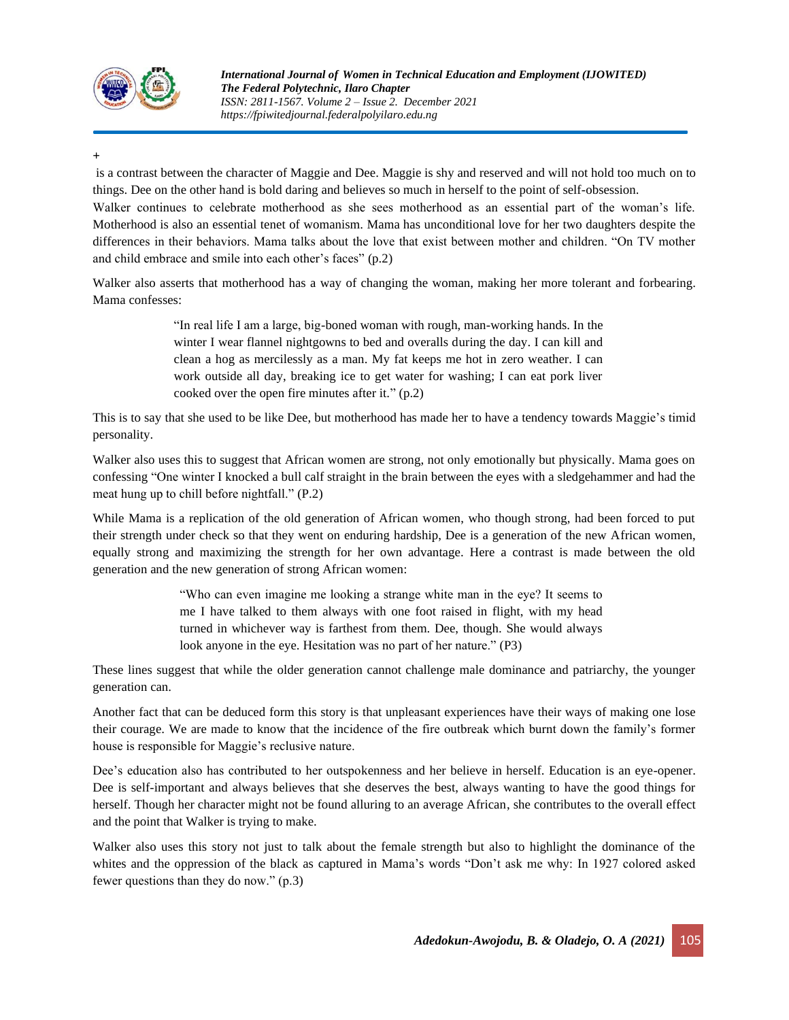

**+**

is a contrast between the character of Maggie and Dee. Maggie is shy and reserved and will not hold too much on to things. Dee on the other hand is bold daring and believes so much in herself to the point of self-obsession.

Walker continues to celebrate motherhood as she sees motherhood as an essential part of the woman's life. Motherhood is also an essential tenet of womanism. Mama has unconditional love for her two daughters despite the differences in their behaviors. Mama talks about the love that exist between mother and children. "On TV mother and child embrace and smile into each other's faces" (p.2)

Walker also asserts that motherhood has a way of changing the woman, making her more tolerant and forbearing. Mama confesses:

> "In real life I am a large, big-boned woman with rough, man-working hands. In the winter I wear flannel nightgowns to bed and overalls during the day. I can kill and clean a hog as mercilessly as a man. My fat keeps me hot in zero weather. I can work outside all day, breaking ice to get water for washing; I can eat pork liver cooked over the open fire minutes after it." (p.2)

This is to say that she used to be like Dee, but motherhood has made her to have a tendency towards Maggie's timid personality.

Walker also uses this to suggest that African women are strong, not only emotionally but physically. Mama goes on confessing "One winter I knocked a bull calf straight in the brain between the eyes with a sledgehammer and had the meat hung up to chill before nightfall." (P.2)

While Mama is a replication of the old generation of African women, who though strong, had been forced to put their strength under check so that they went on enduring hardship, Dee is a generation of the new African women, equally strong and maximizing the strength for her own advantage. Here a contrast is made between the old generation and the new generation of strong African women:

> "Who can even imagine me looking a strange white man in the eye? It seems to me I have talked to them always with one foot raised in flight, with my head turned in whichever way is farthest from them. Dee, though. She would always look anyone in the eye. Hesitation was no part of her nature." (P3)

These lines suggest that while the older generation cannot challenge male dominance and patriarchy, the younger generation can.

Another fact that can be deduced form this story is that unpleasant experiences have their ways of making one lose their courage. We are made to know that the incidence of the fire outbreak which burnt down the family's former house is responsible for Maggie's reclusive nature.

Dee's education also has contributed to her outspokenness and her believe in herself. Education is an eye-opener. Dee is self-important and always believes that she deserves the best, always wanting to have the good things for herself. Though her character might not be found alluring to an average African, she contributes to the overall effect and the point that Walker is trying to make.

Walker also uses this story not just to talk about the female strength but also to highlight the dominance of the whites and the oppression of the black as captured in Mama's words "Don't ask me why: In 1927 colored asked fewer questions than they do now." (p.3)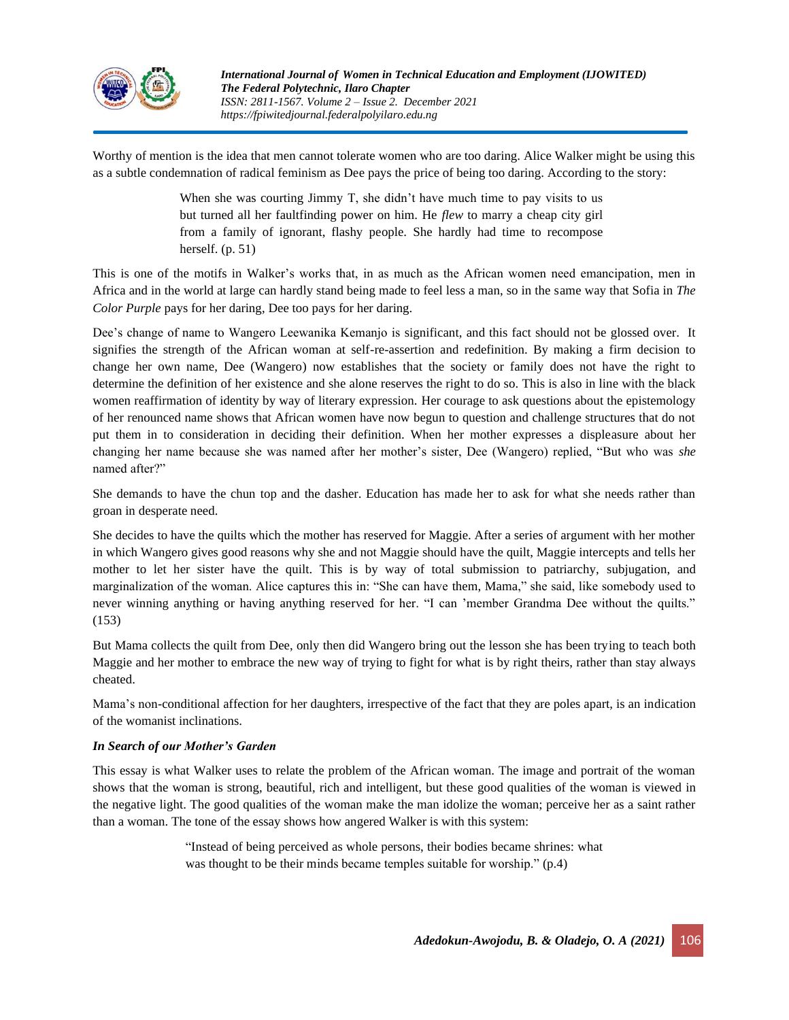

Worthy of mention is the idea that men cannot tolerate women who are too daring. Alice Walker might be using this as a subtle condemnation of radical feminism as Dee pays the price of being too daring. According to the story:

> When she was courting Jimmy T, she didn't have much time to pay visits to us but turned all her faultfinding power on him. He *flew* to marry a cheap city girl from a family of ignorant, flashy people. She hardly had time to recompose herself. (p. 51)

This is one of the motifs in Walker's works that, in as much as the African women need emancipation, men in Africa and in the world at large can hardly stand being made to feel less a man, so in the same way that Sofia in *The Color Purple* pays for her daring, Dee too pays for her daring.

Dee's change of name to Wangero Leewanika Kemanjo is significant, and this fact should not be glossed over. It signifies the strength of the African woman at self-re-assertion and redefinition. By making a firm decision to change her own name, Dee (Wangero) now establishes that the society or family does not have the right to determine the definition of her existence and she alone reserves the right to do so. This is also in line with the black women reaffirmation of identity by way of literary expression. Her courage to ask questions about the epistemology of her renounced name shows that African women have now begun to question and challenge structures that do not put them in to consideration in deciding their definition. When her mother expresses a displeasure about her changing her name because she was named after her mother's sister, Dee (Wangero) replied, "But who was *she*  named after?"

She demands to have the chun top and the dasher. Education has made her to ask for what she needs rather than groan in desperate need.

She decides to have the quilts which the mother has reserved for Maggie. After a series of argument with her mother in which Wangero gives good reasons why she and not Maggie should have the quilt, Maggie intercepts and tells her mother to let her sister have the quilt. This is by way of total submission to patriarchy, subjugation, and marginalization of the woman. Alice captures this in: "She can have them, Mama," she said, like somebody used to never winning anything or having anything reserved for her. "I can 'member Grandma Dee without the quilts." (153)

But Mama collects the quilt from Dee, only then did Wangero bring out the lesson she has been trying to teach both Maggie and her mother to embrace the new way of trying to fight for what is by right theirs, rather than stay always cheated.

Mama's non-conditional affection for her daughters, irrespective of the fact that they are poles apart, is an indication of the womanist inclinations.

### *In Search of our Mother's Garden*

This essay is what Walker uses to relate the problem of the African woman. The image and portrait of the woman shows that the woman is strong, beautiful, rich and intelligent, but these good qualities of the woman is viewed in the negative light. The good qualities of the woman make the man idolize the woman; perceive her as a saint rather than a woman. The tone of the essay shows how angered Walker is with this system:

> "Instead of being perceived as whole persons, their bodies became shrines: what was thought to be their minds became temples suitable for worship." (p.4)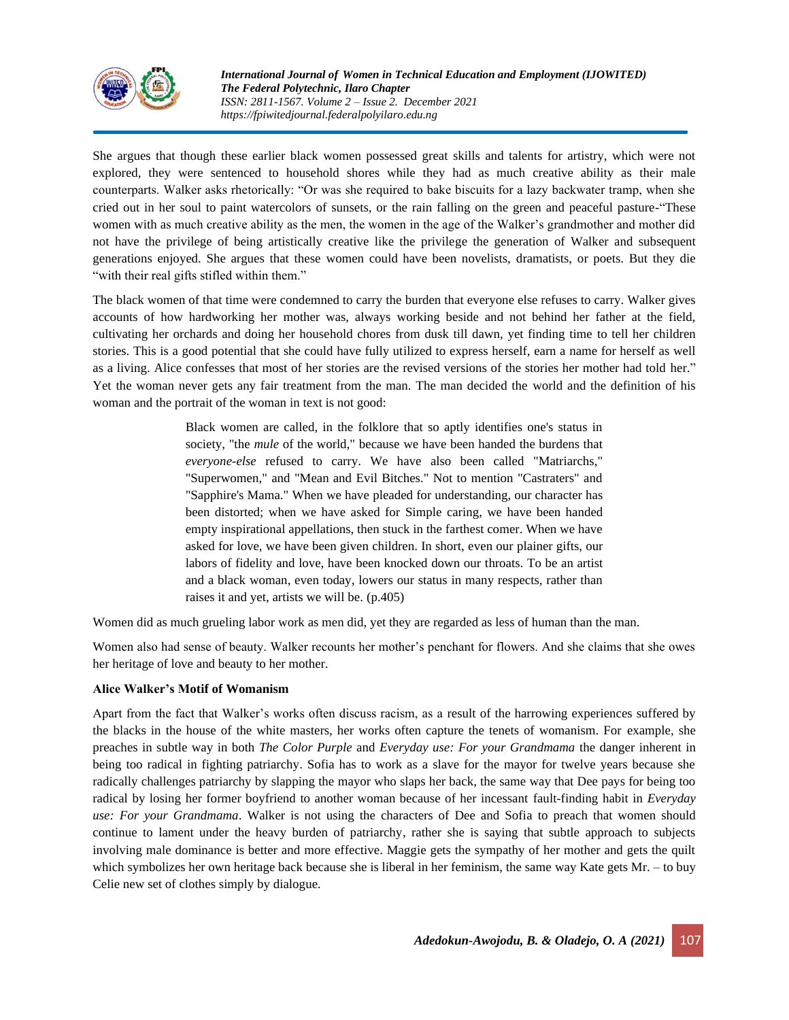

She argues that though these earlier black women possessed great skills and talents for artistry, which were not explored, they were sentenced to household shores while they had as much creative ability as their male counterparts. Walker asks rhetorically: "Or was she required to bake biscuits for a lazy backwater tramp, when she cried out in her soul to paint watercolors of sunsets, or the rain falling on the green and peaceful pasture-"These women with as much creative ability as the men, the women in the age of the Walker's grandmother and mother did not have the privilege of being artistically creative like the privilege the generation of Walker and subsequent generations enjoyed. She argues that these women could have been novelists, dramatists, or poets. But they die "with their real gifts stifled within them."

The black women of that time were condemned to carry the burden that everyone else refuses to carry. Walker gives accounts of how hardworking her mother was, always working beside and not behind her father at the field, cultivating her orchards and doing her household chores from dusk till dawn, yet finding time to tell her children stories. This is a good potential that she could have fully utilized to express herself, earn a name for herself as well as a living. Alice confesses that most of her stories are the revised versions of the stories her mother had told her." Yet the woman never gets any fair treatment from the man. The man decided the world and the definition of his woman and the portrait of the woman in text is not good:

> Black women are called, in the folklore that so aptly identifies one's status in society, "the *mule* of the world," because we have been handed the burdens that *everyone-else* refused to carry. We have also been called "Matriarchs," "Superwomen," and "Mean and Evil Bitches." Not to mention "Castraters" and "Sapphire's Mama." When we have pleaded for understanding, our character has been distorted; when we have asked for Simple caring, we have been handed empty inspirational appellations, then stuck in the farthest comer. When we have asked for love, we have been given children. In short, even our plainer gifts, our labors of fidelity and love, have been knocked down our throats. To be an artist and a black woman, even today, lowers our status in many respects, rather than raises it and yet, artists we will be. (p.405)

Women did as much grueling labor work as men did, yet they are regarded as less of human than the man.

Women also had sense of beauty. Walker recounts her mother's penchant for flowers. And she claims that she owes her heritage of love and beauty to her mother.

#### **Alice Walker's Motif of Womanism**

Apart from the fact that Walker's works often discuss racism, as a result of the harrowing experiences suffered by the blacks in the house of the white masters, her works often capture the tenets of womanism. For example, she preaches in subtle way in both *The Color Purple* and *Everyday use: For your Grandmama* the danger inherent in being too radical in fighting patriarchy. Sofia has to work as a slave for the mayor for twelve years because she radically challenges patriarchy by slapping the mayor who slaps her back, the same way that Dee pays for being too radical by losing her former boyfriend to another woman because of her incessant fault-finding habit in *Everyday use: For your Grandmama*. Walker is not using the characters of Dee and Sofia to preach that women should continue to lament under the heavy burden of patriarchy, rather she is saying that subtle approach to subjects involving male dominance is better and more effective. Maggie gets the sympathy of her mother and gets the quilt which symbolizes her own heritage back because she is liberal in her feminism, the same way Kate gets Mr. – to buy Celie new set of clothes simply by dialogue.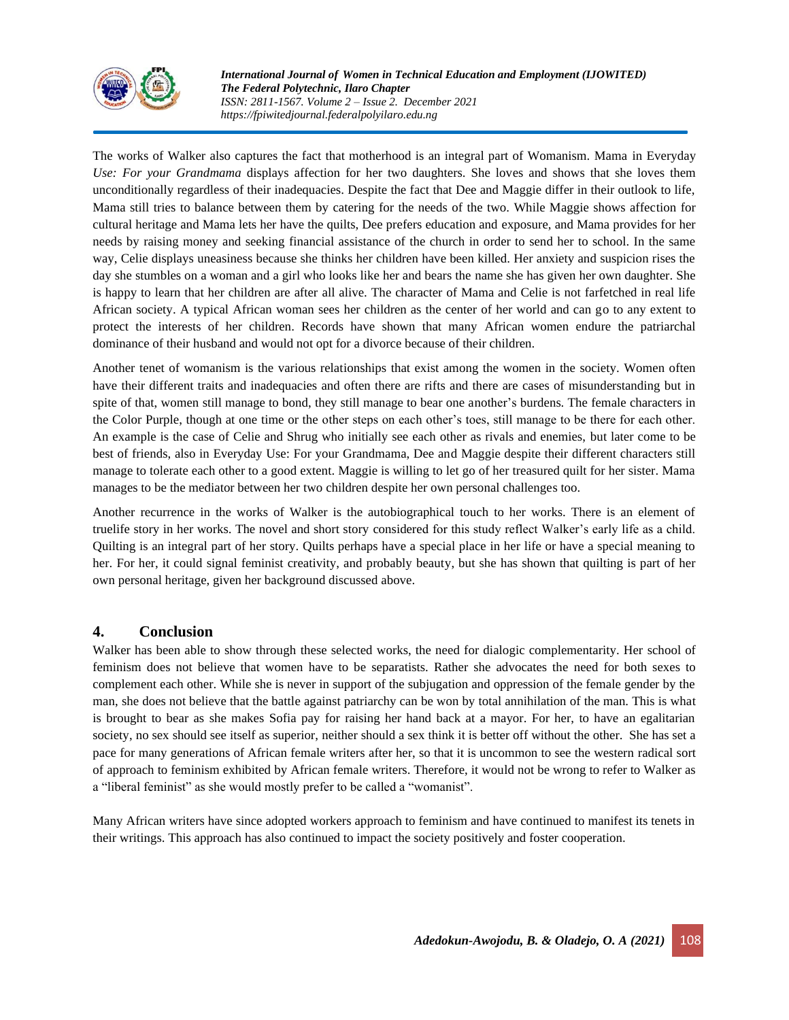

The works of Walker also captures the fact that motherhood is an integral part of Womanism. Mama in Everyday *Use: For your Grandmama* displays affection for her two daughters. She loves and shows that she loves them unconditionally regardless of their inadequacies. Despite the fact that Dee and Maggie differ in their outlook to life, Mama still tries to balance between them by catering for the needs of the two. While Maggie shows affection for cultural heritage and Mama lets her have the quilts, Dee prefers education and exposure, and Mama provides for her needs by raising money and seeking financial assistance of the church in order to send her to school. In the same way, Celie displays uneasiness because she thinks her children have been killed. Her anxiety and suspicion rises the day she stumbles on a woman and a girl who looks like her and bears the name she has given her own daughter. She is happy to learn that her children are after all alive. The character of Mama and Celie is not farfetched in real life African society. A typical African woman sees her children as the center of her world and can go to any extent to protect the interests of her children. Records have shown that many African women endure the patriarchal dominance of their husband and would not opt for a divorce because of their children.

Another tenet of womanism is the various relationships that exist among the women in the society. Women often have their different traits and inadequacies and often there are rifts and there are cases of misunderstanding but in spite of that, women still manage to bond, they still manage to bear one another's burdens. The female characters in the Color Purple, though at one time or the other steps on each other's toes, still manage to be there for each other. An example is the case of Celie and Shrug who initially see each other as rivals and enemies, but later come to be best of friends, also in Everyday Use: For your Grandmama, Dee and Maggie despite their different characters still manage to tolerate each other to a good extent. Maggie is willing to let go of her treasured quilt for her sister. Mama manages to be the mediator between her two children despite her own personal challenges too.

Another recurrence in the works of Walker is the autobiographical touch to her works. There is an element of truelife story in her works. The novel and short story considered for this study reflect Walker's early life as a child. Quilting is an integral part of her story. Quilts perhaps have a special place in her life or have a special meaning to her. For her, it could signal feminist creativity, and probably beauty, but she has shown that quilting is part of her own personal heritage, given her background discussed above.

# **4. Conclusion**

Walker has been able to show through these selected works, the need for dialogic complementarity. Her school of feminism does not believe that women have to be separatists. Rather she advocates the need for both sexes to complement each other. While she is never in support of the subjugation and oppression of the female gender by the man, she does not believe that the battle against patriarchy can be won by total annihilation of the man. This is what is brought to bear as she makes Sofia pay for raising her hand back at a mayor. For her, to have an egalitarian society, no sex should see itself as superior, neither should a sex think it is better off without the other. She has set a pace for many generations of African female writers after her, so that it is uncommon to see the western radical sort of approach to feminism exhibited by African female writers. Therefore, it would not be wrong to refer to Walker as a "liberal feminist" as she would mostly prefer to be called a "womanist".

Many African writers have since adopted workers approach to feminism and have continued to manifest its tenets in their writings. This approach has also continued to impact the society positively and foster cooperation.